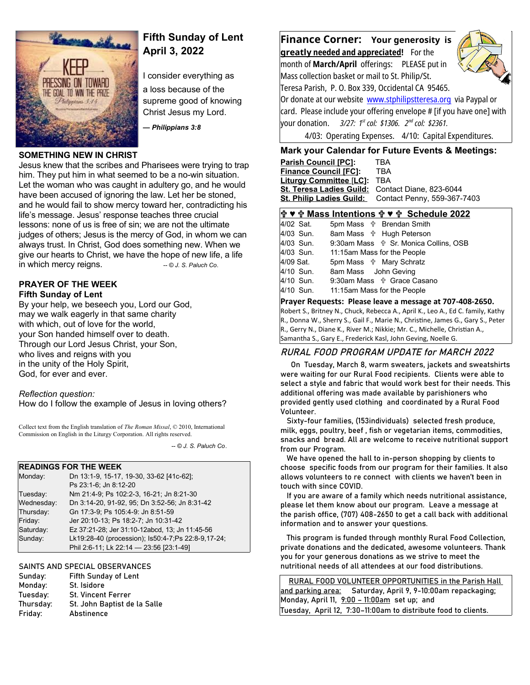

# **Fifth Sunday of Lent April 3, 2022**

I consider everything as

a loss because of the supreme good of knowing Christ Jesus my Lord.

*— Philippians 3:8*

## **SOMETHING NEW IN CHRIST**

Jesus knew that the scribes and Pharisees were trying to trap him. They put him in what seemed to be a no-win situation. Let the woman who was caught in adultery go, and he would have been accused of ignoring the law. Let her be stoned, and he would fail to show mercy toward her, contradicting his life's message. Jesus' response teaches three crucial lessons: none of us is free of sin; we are not the ultimate judges of others; Jesus is the mercy of God, in whom we can always trust. In Christ, God does something new. When we give our hearts to Christ, we have the hope of new life, a life in which mercy reigns. *-- © J. S. Paluch Co.* 

#### **PRAYER OF THE WEEK Fifth Sunday of Lent**

By your help, we beseech you, Lord our God, may we walk eagerly in that same charity with which, out of love for the world, your Son handed himself over to death. Through our Lord Jesus Christ, your Son, who lives and reigns with you in the unity of the Holy Spirit, God, for ever and ever.

### *Reflection question:*

How do I follow the example of Jesus in loving others?

Collect text from the English translation of *The Roman Missal*, © 2010, International Commission on English in the Liturgy Corporation. All rights reserved.

 *-- © J. S. Paluch Co*.

## **READINGS FOR THE WEEK**

| Monday:    | Dn 13:1-9, 15-17, 19-30, 33-62 [41c-62];            |
|------------|-----------------------------------------------------|
|            | Ps 23:1-6; Jn 8:12-20                               |
| Tuesday:   | Nm 21:4-9; Ps 102:2-3, 16-21; Jn 8:21-30            |
| Wednesday: | Dn 3:14-20, 91-92, 95; Dn 3:52-56; Jn 8:31-42       |
| Thursday:  | Gn 17:3-9; Ps 105:4-9: Jn 8:51-59                   |
| Friday:    | Jer 20:10-13; Ps 18:2-7; Jn 10:31-42                |
| Saturday:  | Ez 37:21-28; Jer 31:10-12abcd, 13; Jn 11:45-56      |
| Sunday:    | Lk19:28-40 (procession); Is50:4-7; Ps 22:8-9,17-24; |
|            | Phil 2:6-11; Lk 22:14 - 23:56 [23:1-49]             |
|            |                                                     |

### SAINTS AND SPECIAL OBSERVANCES

| Sunday:   | Fifth Sunday of Lent         |
|-----------|------------------------------|
| Monday:   | St. Isidore                  |
| Tuesday:  | <b>St. Vincent Ferrer</b>    |
| Thursday: | St. John Baptist de la Salle |
| Friday:   | Abstinence                   |
|           |                              |

**Finance Corner: Your generosity is** 

 **greatl y needed and appreciated!** For the month of **March/April** offerings: PLEASE put in Mass collection basket or mail to St. Philip/St.



Teresa Parish, P. O. Box 339, Occidental CA 95465. Or donate at our website [www.stphilipstteresa.org](http://www.stphilipstteresa.org/) via Paypal or card. Please include your offering envelope # [if you have one] with your donation. *3/27: 1st col: \$1306. 2nd col: \$2361.* 4/03: Operating Expenses. 4/10: Capital Expenditures.

## **Mark your Calendar for Future Events & Meetings:**

| <b>Parish Council [PC]:</b>                      | TBA                                                  |
|--------------------------------------------------|------------------------------------------------------|
| <b>Finance Council [FC]:</b>                     | TBA                                                  |
| Liturgy Committee [LC]:                          | TBA                                                  |
| St. Teresa Ladies Guild: Contact Diane, 823-6044 |                                                      |
|                                                  | St. Philip Ladies Guild: Contact Penny, 559-367-7403 |
|                                                  |                                                      |

## **♥ Mass Intentions ♥ Schedule 2022**

| 4/02 Sat. | 5pm Mass $\psi$ Brendan Smith                     |
|-----------|---------------------------------------------------|
| 4/03 Sun. | 8am Mass <b>☆ Hugh Peterson</b>                   |
| 4/03 Sun. | 9:30am Mass $\frac{4}{3}$ Sr. Monica Collins, OSB |
| 4/03 Sun. | 11:15am Mass for the People                       |
| 4/09 Sat. | 5pm Mass <b>the Mary Schratz</b>                  |
| 4/10 Sun. | 8am Mass John Geving                              |
| 4/10 Sun. | 9:30am Mass \$ Grace Casano                       |
| 4/10 Sun. | 11:15am Mass for the People                       |
|           |                                                   |

### **Prayer Requests: Please leave a message at 707-408-2650.**

Robert S., Britney N., Chuck, Rebecca A., April K., Leo A., Ed C. family, Kathy R., Donna W., Sherry S., Gail F., Marie N., Christine, James G., Gary S., Peter R., Gerry N., Diane K., River M.; Nikkie; Mr. C., Michelle, Christian A., Samantha S., Gary E., Frederick Kasl, John Geving, Noelle G.

## RURAL FOOD PROGRAM UPDATE for MARCH 2022

 On Tuesday, March 8, warm sweaters, jackets and sweatshirts were waiting for our Rural Food recipients. Clients were able to select a style and fabric that would work best for their needs. This additional offering was made available by parishioners who provided gently used clothing and coordinated by a Rural Food Volunteer.

 Sixty-four families, (153individuals) selected fresh produce, milk, eggs, poultry, beef , fish or vegetarian items, commodities, snacks and bread. All are welcome to receive nutritional support from our Program.

 We have opened the hall to in-person shopping by clients to choose specific foods from our program for their families. It also allows volunteers to re connect with clients we haven't been in touch with since COVID.

 If you are aware of a family which needs nutritional assistance, please let them know about our program. Leave a message at the parish office, (707) 408-2650 to get a call back with additional information and to answer your questions.

 This program is funded through monthly Rural Food Collection, private donations and the dedicated, awesome volunteers. Thank you for your generous donations as we strive to meet the nutritional needs of all attendees at our food distributions.

 RURAL FOOD VOLUNTEER OPPORTUNITIES in the Parish Hall and parking area: Saturday, April 9, 9-10:00am repackaging; Monday, April 11, 9:00 - 11:00am set up; and Tuesday, April 12, 7:30–11:00am to distribute food to clients.